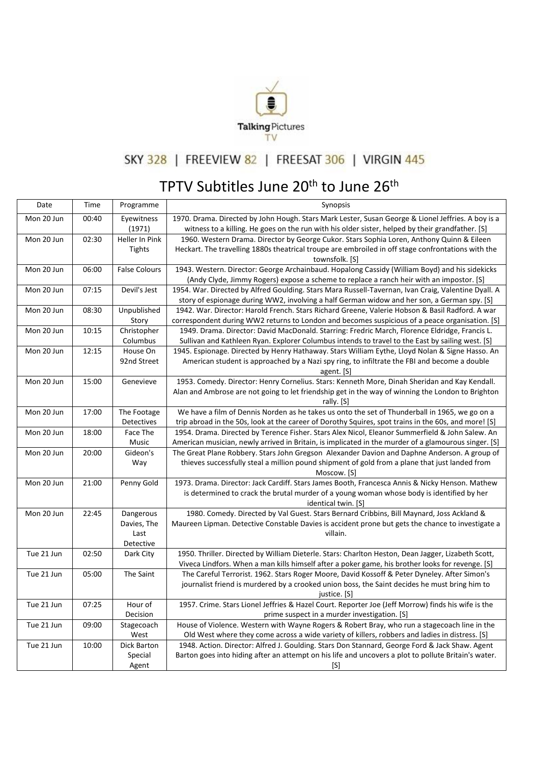

## SKY 328 | FREEVIEW 82 | FREESAT 306 | VIRGIN 445

## TPTV Subtitles June 20<sup>th</sup> to June 26<sup>th</sup>

| Date       | Time  | Programme                                     | Synopsis                                                                                                                                                                                                           |
|------------|-------|-----------------------------------------------|--------------------------------------------------------------------------------------------------------------------------------------------------------------------------------------------------------------------|
| Mon 20 Jun | 00:40 | Eyewitness<br>(1971)                          | 1970. Drama. Directed by John Hough. Stars Mark Lester, Susan George & Lionel Jeffries. A boy is a<br>witness to a killing. He goes on the run with his older sister, helped by their grandfather. [S]             |
| Mon 20 Jun | 02:30 | Heller In Pink<br>Tights                      | 1960. Western Drama. Director by George Cukor. Stars Sophia Loren, Anthony Quinn & Eileen<br>Heckart. The travelling 1880s theatrical troupe are embroiled in off stage confrontations with the<br>townsfolk. [S]  |
| Mon 20 Jun | 06:00 | <b>False Colours</b>                          | 1943. Western. Director: George Archainbaud. Hopalong Cassidy (William Boyd) and his sidekicks<br>(Andy Clyde, Jimmy Rogers) expose a scheme to replace a ranch heir with an impostor. [S]                         |
| Mon 20 Jun | 07:15 | Devil's Jest                                  | 1954. War. Directed by Alfred Goulding. Stars Mara Russell-Tavernan, Ivan Craig, Valentine Dyall. A<br>story of espionage during WW2, involving a half German widow and her son, a German spy. [S]                 |
| Mon 20 Jun | 08:30 | Unpublished<br>Story                          | 1942. War. Director: Harold French. Stars Richard Greene, Valerie Hobson & Basil Radford. A war<br>correspondent during WW2 returns to London and becomes suspicious of a peace organisation. [S]                  |
| Mon 20 Jun | 10:15 | Christopher<br>Columbus                       | 1949. Drama. Director: David MacDonald. Starring: Fredric March, Florence Eldridge, Francis L.<br>Sullivan and Kathleen Ryan. Explorer Columbus intends to travel to the East by sailing west. [S]                 |
| Mon 20 Jun | 12:15 | House On<br>92nd Street                       | 1945. Espionage. Directed by Henry Hathaway. Stars William Eythe, Lloyd Nolan & Signe Hasso. An<br>American student is approached by a Nazi spy ring, to infiltrate the FBI and become a double<br>agent. [S]      |
| Mon 20 Jun | 15:00 | Genevieve                                     | 1953. Comedy. Director: Henry Cornelius. Stars: Kenneth More, Dinah Sheridan and Kay Kendall.<br>Alan and Ambrose are not going to let friendship get in the way of winning the London to Brighton<br>rally. [S]   |
| Mon 20 Jun | 17:00 | The Footage<br>Detectives                     | We have a film of Dennis Norden as he takes us onto the set of Thunderball in 1965, we go on a<br>trip abroad in the 50s, look at the career of Dorothy Squires, spot trains in the 60s, and more! [S]             |
| Mon 20 Jun | 18:00 | Face The<br>Music                             | 1954. Drama. Directed by Terence Fisher. Stars Alex Nicol, Eleanor Summerfield & John Salew. An<br>American musician, newly arrived in Britain, is implicated in the murder of a glamourous singer. [S]            |
| Mon 20 Jun | 20:00 | Gideon's<br>Way                               | The Great Plane Robbery. Stars John Gregson Alexander Davion and Daphne Anderson. A group of<br>thieves successfully steal a million pound shipment of gold from a plane that just landed from<br>Moscow. [S]      |
| Mon 20 Jun | 21:00 | Penny Gold                                    | 1973. Drama. Director: Jack Cardiff. Stars James Booth, Francesca Annis & Nicky Henson. Mathew<br>is determined to crack the brutal murder of a young woman whose body is identified by her<br>identical twin. [S] |
| Mon 20 Jun | 22:45 | Dangerous<br>Davies, The<br>Last<br>Detective | 1980. Comedy. Directed by Val Guest. Stars Bernard Cribbins, Bill Maynard, Joss Ackland &<br>Maureen Lipman. Detective Constable Davies is accident prone but gets the chance to investigate a<br>villain.         |
| Tue 21 Jun | 02:50 | Dark City                                     | 1950. Thriller. Directed by William Dieterle. Stars: Charlton Heston, Dean Jagger, Lizabeth Scott,<br>Viveca Lindfors. When a man kills himself after a poker game, his brother looks for revenge. [S]             |
| Tue 21 Jun | 05:00 | The Saint                                     | The Careful Terrorist. 1962. Stars Roger Moore, David Kossoff & Peter Dyneley. After Simon's<br>journalist friend is murdered by a crooked union boss, the Saint decides he must bring him to<br>justice. [S]      |
| Tue 21 Jun | 07:25 | Hour of<br>Decision                           | 1957. Crime. Stars Lionel Jeffries & Hazel Court. Reporter Joe (Jeff Morrow) finds his wife is the<br>prime suspect in a murder investigation. [S]                                                                 |
| Tue 21 Jun | 09:00 | Stagecoach<br>West                            | House of Violence. Western with Wayne Rogers & Robert Bray, who run a stagecoach line in the<br>Old West where they come across a wide variety of killers, robbers and ladies in distress. [S]                     |
| Tue 21 Jun | 10:00 | Dick Barton<br>Special<br>Agent               | 1948. Action. Director: Alfred J. Goulding. Stars Don Stannard, George Ford & Jack Shaw. Agent<br>Barton goes into hiding after an attempt on his life and uncovers a plot to pollute Britain's water.<br>[S]      |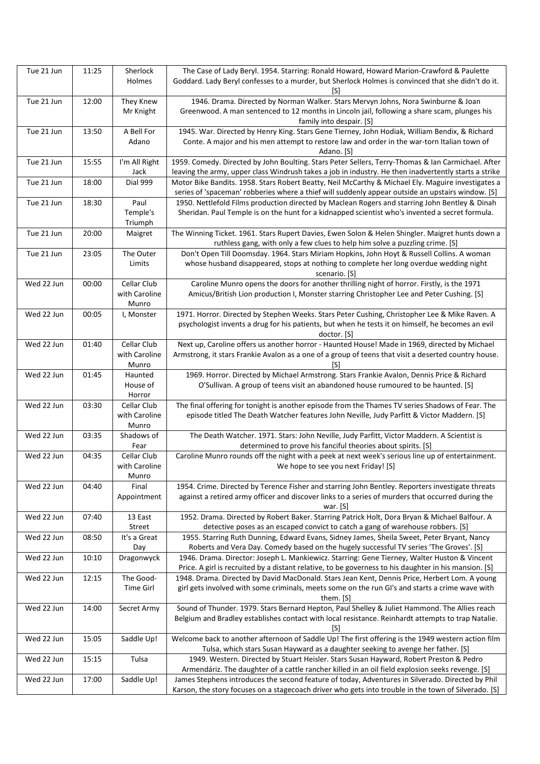| Tue 21 Jun | 11:25 | Sherlock<br>Holmes                    | The Case of Lady Beryl. 1954. Starring: Ronald Howard, Howard Marion-Crawford & Paulette<br>Goddard. Lady Beryl confesses to a murder, but Sherlock Holmes is convinced that she didn't do it.<br>[S]             |
|------------|-------|---------------------------------------|-------------------------------------------------------------------------------------------------------------------------------------------------------------------------------------------------------------------|
| Tue 21 Jun | 12:00 | They Knew<br>Mr Knight                | 1946. Drama. Directed by Norman Walker. Stars Mervyn Johns, Nora Swinburne & Joan<br>Greenwood. A man sentenced to 12 months in Lincoln jail, following a share scam, plunges his<br>family into despair. [S]     |
| Tue 21 Jun | 13:50 | A Bell For<br>Adano                   | 1945. War. Directed by Henry King. Stars Gene Tierney, John Hodiak, William Bendix, & Richard<br>Conte. A major and his men attempt to restore law and order in the war-torn Italian town of<br>Adano. [S]        |
| Tue 21 Jun | 15:55 | I'm All Right<br>Jack                 | 1959. Comedy. Directed by John Boulting. Stars Peter Sellers, Terry-Thomas & Ian Carmichael. After<br>leaving the army, upper class Windrush takes a job in industry. He then inadvertently starts a strike       |
| Tue 21 Jun | 18:00 | Dial 999                              | Motor Bike Bandits. 1958. Stars Robert Beatty, Neil McCarthy & Michael Ely. Maguire investigates a<br>series of 'spaceman' robberies where a thief will suddenly appear outside an upstairs window. [S]           |
| Tue 21 Jun | 18:30 | Paul<br>Temple's<br>Triumph           | 1950. Nettlefold Films production directed by Maclean Rogers and starring John Bentley & Dinah<br>Sheridan. Paul Temple is on the hunt for a kidnapped scientist who's invented a secret formula.                 |
| Tue 21 Jun | 20:00 | Maigret                               | The Winning Ticket. 1961. Stars Rupert Davies, Ewen Solon & Helen Shingler. Maigret hunts down a<br>ruthless gang, with only a few clues to help him solve a puzzling crime. [S]                                  |
| Tue 21 Jun | 23:05 | The Outer<br>Limits                   | Don't Open Till Doomsday. 1964. Stars Miriam Hopkins, John Hoyt & Russell Collins. A woman<br>whose husband disappeared, stops at nothing to complete her long overdue wedding night<br>scenario. [S]             |
| Wed 22 Jun | 00:00 | Cellar Club<br>with Caroline<br>Munro | Caroline Munro opens the doors for another thrilling night of horror. Firstly, is the 1971<br>Amicus/British Lion production I, Monster starring Christopher Lee and Peter Cushing. [S]                           |
| Wed 22 Jun | 00:05 | I, Monster                            | 1971. Horror. Directed by Stephen Weeks. Stars Peter Cushing, Christopher Lee & Mike Raven. A<br>psychologist invents a drug for his patients, but when he tests it on himself, he becomes an evil<br>doctor. [S] |
| Wed 22 Jun | 01:40 | Cellar Club<br>with Caroline<br>Munro | Next up, Caroline offers us another horror - Haunted House! Made in 1969, directed by Michael<br>Armstrong, it stars Frankie Avalon as a one of a group of teens that visit a deserted country house.<br>IS1      |
| Wed 22 Jun | 01:45 | Haunted<br>House of<br>Horror         | 1969. Horror. Directed by Michael Armstrong. Stars Frankie Avalon, Dennis Price & Richard<br>O'Sullivan. A group of teens visit an abandoned house rumoured to be haunted. [S]                                    |
| Wed 22 Jun | 03:30 | Cellar Club<br>with Caroline<br>Munro | The final offering for tonight is another episode from the Thames TV series Shadows of Fear. The<br>episode titled The Death Watcher features John Neville, Judy Parfitt & Victor Maddern. [S]                    |
| Wed 22 Jun | 03:35 | Shadows of<br>Fear                    | The Death Watcher. 1971. Stars: John Neville, Judy Parfitt, Victor Maddern. A Scientist is<br>determined to prove his fanciful theories about spirits. [S]                                                        |
| Wed 22 Jun | 04:35 | Cellar Club<br>with Caroline<br>Munro | Caroline Munro rounds off the night with a peek at next week's serious line up of entertainment.<br>We hope to see you next Friday! [S]                                                                           |
| Wed 22 Jun | 04:40 | Final<br>Appointment                  | 1954. Crime. Directed by Terence Fisher and starring John Bentley. Reporters investigate threats<br>against a retired army officer and discover links to a series of murders that occurred during the<br>war. [S] |
| Wed 22 Jun | 07:40 | 13 East<br>Street                     | 1952. Drama. Directed by Robert Baker. Starring Patrick Holt, Dora Bryan & Michael Balfour. A<br>detective poses as an escaped convict to catch a gang of warehouse robbers. [S]                                  |
| Wed 22 Jun | 08:50 | It's a Great<br>Day                   | 1955. Starring Ruth Dunning, Edward Evans, Sidney James, Sheila Sweet, Peter Bryant, Nancy<br>Roberts and Vera Day. Comedy based on the hugely successful TV series 'The Groves'. [S]                             |
| Wed 22 Jun | 10:10 | Dragonwyck                            | 1946. Drama. Director: Joseph L. Mankiewicz. Starring: Gene Tierney, Walter Huston & Vincent<br>Price. A girl is recruited by a distant relative, to be governess to his daughter in his mansion. [S]             |
| Wed 22 Jun | 12:15 | The Good-<br>Time Girl                | 1948. Drama. Directed by David MacDonald. Stars Jean Kent, Dennis Price, Herbert Lom. A young<br>girl gets involved with some criminals, meets some on the run GI's and starts a crime wave with<br>them. [S]     |
| Wed 22 Jun | 14:00 | Secret Army                           | Sound of Thunder. 1979. Stars Bernard Hepton, Paul Shelley & Juliet Hammond. The Allies reach<br>Belgium and Bradley establishes contact with local resistance. Reinhardt attempts to trap Natalie.<br>[S]        |
| Wed 22 Jun | 15:05 | Saddle Up!                            | Welcome back to another afternoon of Saddle Up! The first offering is the 1949 western action film<br>Tulsa, which stars Susan Hayward as a daughter seeking to avenge her father. [S]                            |
| Wed 22 Jun | 15:15 | Tulsa                                 | 1949. Western. Directed by Stuart Heisler. Stars Susan Hayward, Robert Preston & Pedro<br>Armendáriz. The daughter of a cattle rancher killed in an oil field explosion seeks revenge. [S]                        |
| Wed 22 Jun | 17:00 | Saddle Up!                            | James Stephens introduces the second feature of today, Adventures in Silverado. Directed by Phil<br>Karson, the story focuses on a stagecoach driver who gets into trouble in the town of Silverado. [S]          |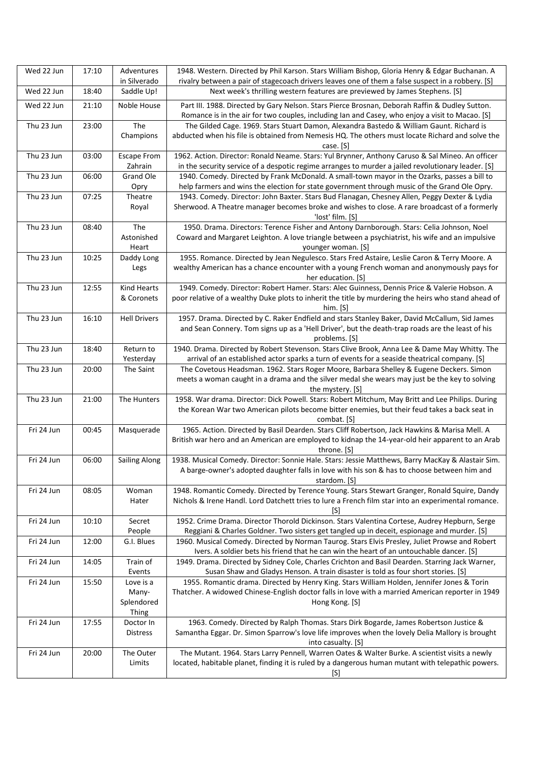| Wed 22 Jun | 17:10 | Adventures                 | 1948. Western. Directed by Phil Karson. Stars William Bishop, Gloria Henry & Edgar Buchanan. A                                                                                               |
|------------|-------|----------------------------|----------------------------------------------------------------------------------------------------------------------------------------------------------------------------------------------|
|            |       | in Silverado               | rivalry between a pair of stagecoach drivers leaves one of them a false suspect in a robbery. [S]                                                                                            |
| Wed 22 Jun | 18:40 | Saddle Up!                 | Next week's thrilling western features are previewed by James Stephens. [S]                                                                                                                  |
| Wed 22 Jun | 21:10 | Noble House                | Part III. 1988. Directed by Gary Nelson. Stars Pierce Brosnan, Deborah Raffin & Dudley Sutton.                                                                                               |
|            |       |                            | Romance is in the air for two couples, including Ian and Casey, who enjoy a visit to Macao. [S]                                                                                              |
| Thu 23 Jun | 23:00 | The                        | The Gilded Cage. 1969. Stars Stuart Damon, Alexandra Bastedo & William Gaunt. Richard is                                                                                                     |
|            |       | Champions                  | abducted when his file is obtained from Nemesis HQ. The others must locate Richard and solve the<br>case. [S]                                                                                |
| Thu 23 Jun | 03:00 | <b>Escape From</b>         | 1962. Action. Director: Ronald Neame. Stars: Yul Brynner, Anthony Caruso & Sal Mineo. An officer                                                                                             |
|            |       | Zahrain                    | in the security service of a despotic regime arranges to murder a jailed revolutionary leader. [S]                                                                                           |
| Thu 23 Jun | 06:00 | Grand Ole                  | 1940. Comedy. Directed by Frank McDonald. A small-town mayor in the Ozarks, passes a bill to                                                                                                 |
|            |       | Opry                       | help farmers and wins the election for state government through music of the Grand Ole Opry.                                                                                                 |
| Thu 23 Jun | 07:25 | Theatre                    | 1943. Comedy. Director: John Baxter. Stars Bud Flanagan, Chesney Allen, Peggy Dexter & Lydia                                                                                                 |
|            |       | Royal                      | Sherwood. A Theatre manager becomes broke and wishes to close. A rare broadcast of a formerly                                                                                                |
|            |       |                            | 'lost' film. [S]                                                                                                                                                                             |
| Thu 23 Jun | 08:40 | The<br>Astonished          | 1950. Drama. Directors: Terence Fisher and Antony Darnborough. Stars: Celia Johnson, Noel<br>Coward and Margaret Leighton. A love triangle between a psychiatrist, his wife and an impulsive |
|            |       | Heart                      | younger woman. [S]                                                                                                                                                                           |
| Thu 23 Jun | 10:25 | Daddy Long                 | 1955. Romance. Directed by Jean Negulesco. Stars Fred Astaire, Leslie Caron & Terry Moore. A                                                                                                 |
|            |       | Legs                       | wealthy American has a chance encounter with a young French woman and anonymously pays for                                                                                                   |
|            |       |                            | her education. [S]                                                                                                                                                                           |
| Thu 23 Jun | 12:55 | <b>Kind Hearts</b>         | 1949. Comedy. Director: Robert Hamer. Stars: Alec Guinness, Dennis Price & Valerie Hobson. A                                                                                                 |
|            |       | & Coronets                 | poor relative of a wealthy Duke plots to inherit the title by murdering the heirs who stand ahead of                                                                                         |
|            |       |                            | him. $[S]$                                                                                                                                                                                   |
| Thu 23 Jun | 16:10 | <b>Hell Drivers</b>        | 1957. Drama. Directed by C. Raker Endfield and stars Stanley Baker, David McCallum, Sid James                                                                                                |
|            |       |                            | and Sean Connery. Tom signs up as a 'Hell Driver', but the death-trap roads are the least of his<br>problems. [S]                                                                            |
| Thu 23 Jun | 18:40 | Return to                  | 1940. Drama. Directed by Robert Stevenson. Stars Clive Brook, Anna Lee & Dame May Whitty. The                                                                                                |
|            |       | Yesterday                  | arrival of an established actor sparks a turn of events for a seaside theatrical company. [S]                                                                                                |
| Thu 23 Jun | 20:00 | The Saint                  | The Covetous Headsman. 1962. Stars Roger Moore, Barbara Shelley & Eugene Deckers. Simon                                                                                                      |
|            |       |                            | meets a woman caught in a drama and the silver medal she wears may just be the key to solving                                                                                                |
|            |       |                            | the mystery. [S]                                                                                                                                                                             |
| Thu 23 Jun | 21:00 | The Hunters                | 1958. War drama. Director: Dick Powell. Stars: Robert Mitchum, May Britt and Lee Philips. During                                                                                             |
|            |       |                            | the Korean War two American pilots become bitter enemies, but their feud takes a back seat in                                                                                                |
| Fri 24 Jun | 00:45 | Masquerade                 | combat. [S]<br>1965. Action. Directed by Basil Dearden. Stars Cliff Robertson, Jack Hawkins & Marisa Mell. A                                                                                 |
|            |       |                            | British war hero and an American are employed to kidnap the 14-year-old heir apparent to an Arab                                                                                             |
|            |       |                            | throne. [S]                                                                                                                                                                                  |
| Fri 24 Jun | 06:00 | <b>Sailing Along</b>       | 1938. Musical Comedy. Director: Sonnie Hale. Stars: Jessie Matthews, Barry MacKay & Alastair Sim.                                                                                            |
|            |       |                            | A barge-owner's adopted daughter falls in love with his son & has to choose between him and                                                                                                  |
|            |       |                            | stardom. [S]                                                                                                                                                                                 |
| Fri 24 Jun | 08:05 | Woman                      | 1948. Romantic Comedy. Directed by Terence Young. Stars Stewart Granger, Ronald Squire, Dandy                                                                                                |
|            |       | Hater                      | Nichols & Irene Handl. Lord Datchett tries to lure a French film star into an experimental romance.<br>[S]                                                                                   |
| Fri 24 Jun | 10:10 | Secret                     | 1952. Crime Drama. Director Thorold Dickinson. Stars Valentina Cortese, Audrey Hepburn, Serge                                                                                                |
|            |       | People                     | Reggiani & Charles Goldner. Two sisters get tangled up in deceit, espionage and murder. [S]                                                                                                  |
| Fri 24 Jun | 12:00 | G.I. Blues                 | 1960. Musical Comedy. Directed by Norman Taurog. Stars Elvis Presley, Juliet Prowse and Robert                                                                                               |
|            |       |                            | Ivers. A soldier bets his friend that he can win the heart of an untouchable dancer. [S]                                                                                                     |
| Fri 24 Jun | 14:05 | Train of                   | 1949. Drama. Directed by Sidney Cole, Charles Crichton and Basil Dearden. Starring Jack Warner,                                                                                              |
|            |       | Events                     | Susan Shaw and Gladys Henson. A train disaster is told as four short stories. [S]                                                                                                            |
| Fri 24 Jun | 15:50 | Love is a                  | 1955. Romantic drama. Directed by Henry King. Stars William Holden, Jennifer Jones & Torin                                                                                                   |
|            |       | Many-                      | Thatcher. A widowed Chinese-English doctor falls in love with a married American reporter in 1949                                                                                            |
|            |       | Splendored<br><b>Thing</b> | Hong Kong. [S]                                                                                                                                                                               |
| Fri 24 Jun | 17:55 | Doctor In                  | 1963. Comedy. Directed by Ralph Thomas. Stars Dirk Bogarde, James Robertson Justice &                                                                                                        |
|            |       | <b>Distress</b>            | Samantha Eggar. Dr. Simon Sparrow's love life improves when the lovely Delia Mallory is brought                                                                                              |
|            |       |                            | into casualty. [S]                                                                                                                                                                           |
| Fri 24 Jun | 20:00 | The Outer                  | The Mutant. 1964. Stars Larry Pennell, Warren Oates & Walter Burke. A scientist visits a newly                                                                                               |
|            |       | Limits                     | located, habitable planet, finding it is ruled by a dangerous human mutant with telepathic powers.                                                                                           |
|            |       |                            | [S]                                                                                                                                                                                          |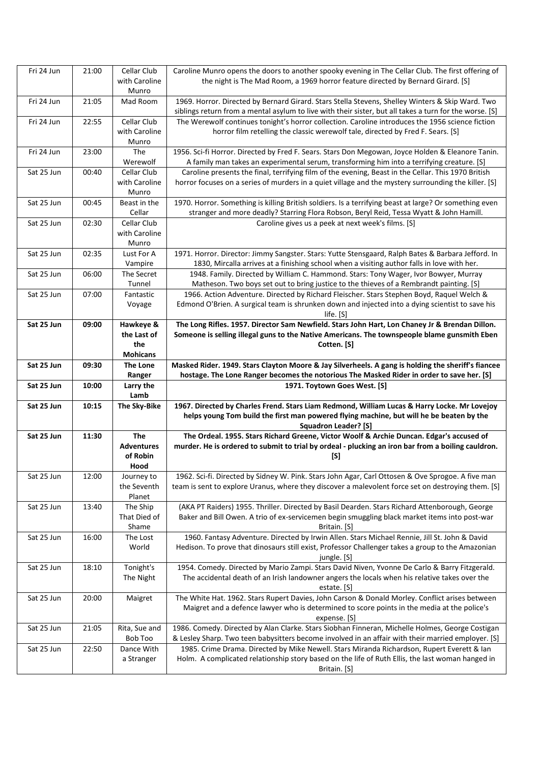| Fri 24 Jun | 21:00 | Cellar Club             | Caroline Munro opens the doors to another spooky evening in The Cellar Club. The first offering of                                                                                                          |
|------------|-------|-------------------------|-------------------------------------------------------------------------------------------------------------------------------------------------------------------------------------------------------------|
|            |       | with Caroline           | the night is The Mad Room, a 1969 horror feature directed by Bernard Girard. [S]                                                                                                                            |
|            |       | Munro                   |                                                                                                                                                                                                             |
| Fri 24 Jun | 21:05 | Mad Room                | 1969. Horror. Directed by Bernard Girard. Stars Stella Stevens, Shelley Winters & Skip Ward. Two                                                                                                            |
|            |       |                         | siblings return from a mental asylum to live with their sister, but all takes a turn for the worse. [S]                                                                                                     |
| Fri 24 Jun | 22:55 | Cellar Club             | The Werewolf continues tonight's horror collection. Caroline introduces the 1956 science fiction                                                                                                            |
|            |       | with Caroline           | horror film retelling the classic werewolf tale, directed by Fred F. Sears. [S]                                                                                                                             |
|            |       | Munro                   |                                                                                                                                                                                                             |
| Fri 24 Jun | 23:00 | The                     | 1956. Sci-fi Horror. Directed by Fred F. Sears. Stars Don Megowan, Joyce Holden & Eleanore Tanin.                                                                                                           |
|            |       | Werewolf<br>Cellar Club | A family man takes an experimental serum, transforming him into a terrifying creature. [S]                                                                                                                  |
| Sat 25 Jun | 00:40 | with Caroline           | Caroline presents the final, terrifying film of the evening, Beast in the Cellar. This 1970 British<br>horror focuses on a series of murders in a quiet village and the mystery surrounding the killer. [S] |
|            |       | Munro                   |                                                                                                                                                                                                             |
| Sat 25 Jun | 00:45 | Beast in the            | 1970. Horror. Something is killing British soldiers. Is a terrifying beast at large? Or something even                                                                                                      |
|            |       | Cellar                  | stranger and more deadly? Starring Flora Robson, Beryl Reid, Tessa Wyatt & John Hamill.                                                                                                                     |
| Sat 25 Jun | 02:30 | Cellar Club             | Caroline gives us a peek at next week's films. [S]                                                                                                                                                          |
|            |       | with Caroline           |                                                                                                                                                                                                             |
|            |       | Munro                   |                                                                                                                                                                                                             |
| Sat 25 Jun | 02:35 | Lust For A              | 1971. Horror. Director: Jimmy Sangster. Stars: Yutte Stensgaard, Ralph Bates & Barbara Jefford. In                                                                                                          |
|            |       | Vampire                 | 1830, Mircalla arrives at a finishing school when a visiting author falls in love with her.                                                                                                                 |
| Sat 25 Jun | 06:00 | The Secret              | 1948. Family. Directed by William C. Hammond. Stars: Tony Wager, Ivor Bowyer, Murray                                                                                                                        |
|            |       | Tunnel                  | Matheson. Two boys set out to bring justice to the thieves of a Rembrandt painting. [S]                                                                                                                     |
| Sat 25 Jun | 07:00 | Fantastic               | 1966. Action Adventure. Directed by Richard Fleischer. Stars Stephen Boyd, Raquel Welch &                                                                                                                   |
|            |       | Voyage                  | Edmond O'Brien. A surgical team is shrunken down and injected into a dying scientist to save his                                                                                                            |
|            |       |                         | life. [S]                                                                                                                                                                                                   |
| Sat 25 Jun | 09:00 | Hawkeye &               | The Long Rifles. 1957. Director Sam Newfield. Stars John Hart, Lon Chaney Jr & Brendan Dillon.                                                                                                              |
|            |       | the Last of             | Someone is selling illegal guns to the Native Americans. The townspeople blame gunsmith Eben                                                                                                                |
|            |       | the                     | Cotten. [S]                                                                                                                                                                                                 |
|            |       | <b>Mohicans</b>         |                                                                                                                                                                                                             |
|            |       | The Lone                | Masked Rider. 1949. Stars Clayton Moore & Jay Silverheels. A gang is holding the sheriff's fiancee                                                                                                          |
| Sat 25 Jun | 09:30 |                         |                                                                                                                                                                                                             |
|            |       | Ranger                  | hostage. The Lone Ranger becomes the notorious The Masked Rider in order to save her. [S]                                                                                                                   |
| Sat 25 Jun | 10:00 | Larry the               | 1971. Toytown Goes West. [S]                                                                                                                                                                                |
|            | 10:15 | Lamb                    |                                                                                                                                                                                                             |
| Sat 25 Jun |       | <b>The Sky-Bike</b>     | 1967. Directed by Charles Frend. Stars Liam Redmond, William Lucas & Harry Locke. Mr Lovejoy                                                                                                                |
|            |       |                         | helps young Tom build the first man powered flying machine, but will he be beaten by the<br><b>Squadron Leader? [S]</b>                                                                                     |
| Sat 25 Jun | 11:30 | <b>The</b>              | The Ordeal. 1955. Stars Richard Greene, Victor Woolf & Archie Duncan. Edgar's accused of                                                                                                                    |
|            |       | <b>Adventures</b>       | murder. He is ordered to submit to trial by ordeal - plucking an iron bar from a boiling cauldron.                                                                                                          |
|            |       | of Robin                | $[S]$                                                                                                                                                                                                       |
|            |       | Hood                    |                                                                                                                                                                                                             |
| Sat 25 Jun | 12:00 | Journey to              | 1962. Sci-fi. Directed by Sidney W. Pink. Stars John Agar, Carl Ottosen & Ove Sprogoe. A five man                                                                                                           |
|            |       | the Seventh             | team is sent to explore Uranus, where they discover a malevolent force set on destroying them. [S]                                                                                                          |
|            |       | Planet                  |                                                                                                                                                                                                             |
| Sat 25 Jun | 13:40 | The Ship                | (AKA PT Raiders) 1955. Thriller. Directed by Basil Dearden. Stars Richard Attenborough, George                                                                                                              |
|            |       | That Died of            | Baker and Bill Owen. A trio of ex-servicemen begin smuggling black market items into post-war                                                                                                               |
|            |       | Shame                   | Britain. [S]                                                                                                                                                                                                |
| Sat 25 Jun | 16:00 | The Lost                | 1960. Fantasy Adventure. Directed by Irwin Allen. Stars Michael Rennie, Jill St. John & David                                                                                                               |
|            |       | World                   | Hedison. To prove that dinosaurs still exist, Professor Challenger takes a group to the Amazonian                                                                                                           |
|            |       |                         | jungle. [S]                                                                                                                                                                                                 |
| Sat 25 Jun | 18:10 | Tonight's               | 1954. Comedy. Directed by Mario Zampi. Stars David Niven, Yvonne De Carlo & Barry Fitzgerald.                                                                                                               |
|            |       | The Night               | The accidental death of an Irish landowner angers the locals when his relative takes over the                                                                                                               |
|            |       |                         | estate. [S]                                                                                                                                                                                                 |
| Sat 25 Jun | 20:00 | Maigret                 | The White Hat. 1962. Stars Rupert Davies, John Carson & Donald Morley. Conflict arises between                                                                                                              |
|            |       |                         | Maigret and a defence lawyer who is determined to score points in the media at the police's<br>expense. [S]                                                                                                 |
| Sat 25 Jun | 21:05 | Rita, Sue and           | 1986. Comedy. Directed by Alan Clarke. Stars Siobhan Finneran, Michelle Holmes, George Costigan                                                                                                             |
|            |       | Bob Too                 | & Lesley Sharp. Two teen babysitters become involved in an affair with their married employer. [S]                                                                                                          |
| Sat 25 Jun | 22:50 | Dance With              | 1985. Crime Drama. Directed by Mike Newell. Stars Miranda Richardson, Rupert Everett & Ian                                                                                                                  |
|            |       | a Stranger              | Holm. A complicated relationship story based on the life of Ruth Ellis, the last woman hanged in                                                                                                            |